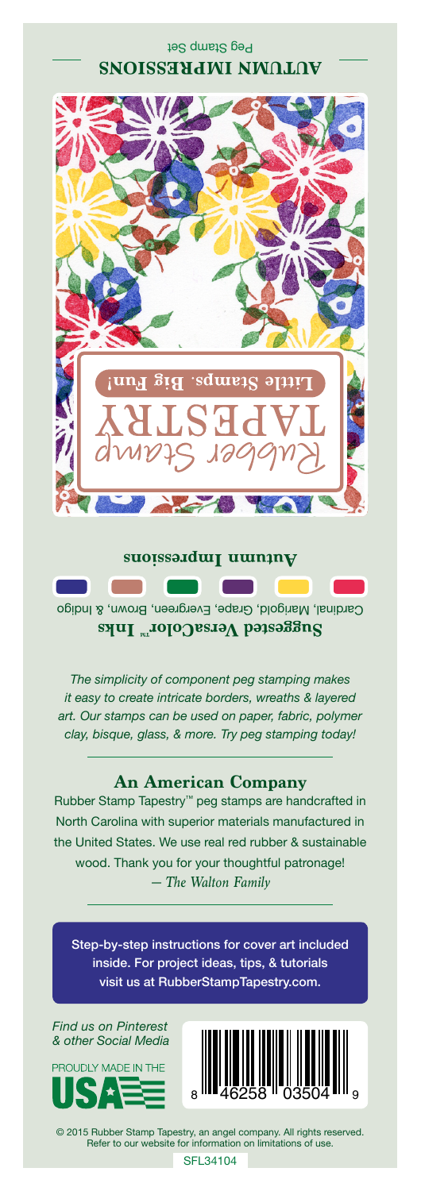## Peg Stamp Set **SNOISSEYJUNI NWALAV**



**Autumnalish Automnalish**  $\sim 10^{-1}$ n Cardinal, Marigold, Grape, Evergreen, Brown, & Indigo **Suggested VersaColor** Inks

*The simplicity of component peg stamping makes it easy to create intricate borders, wreaths & layered art. Our stamps can be used on paper, fabric, polymer clay, bisque, glass, & more. Try peg stamping today!*

## **An American Company**

*— The Walton Family* Rubber Stamp Tapestry™ peg stamps are handcrafted in North Carolina with superior materials manufactured in the United States. We use real red rubber & sustainable wood. Thank you for your thoughtful patronage!

Step-by-step instructions for cover art included inside. For project ideas, tips, & tutorials visit us at RubberStampTapestry.com.

*Find us on Pinterest & other Social Media*





© 2015 Rubber Stamp Tapestry, an angel company. All rights reserved. Refer to our website for information on limitations of use.